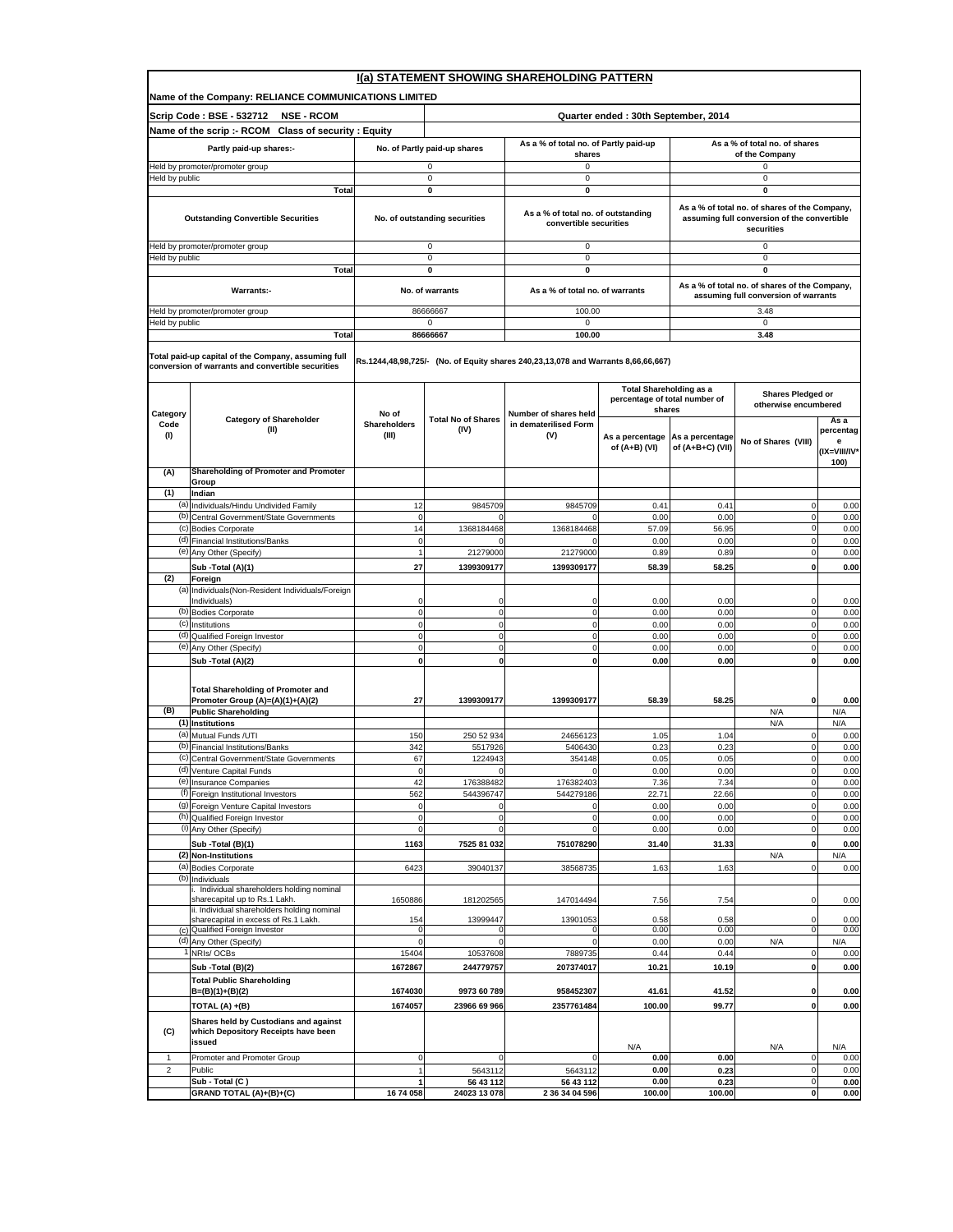|                | I(a) STATEMENT SHOWING SHAREHOLDING PATTERN                                                              |                           |                                   |                                                                                   |                                                                           |                                     |                                                                                                            |                           |  |  |  |
|----------------|----------------------------------------------------------------------------------------------------------|---------------------------|-----------------------------------|-----------------------------------------------------------------------------------|---------------------------------------------------------------------------|-------------------------------------|------------------------------------------------------------------------------------------------------------|---------------------------|--|--|--|
|                | Name of the Company: RELIANCE COMMUNICATIONS LIMITED                                                     |                           |                                   |                                                                                   |                                                                           |                                     |                                                                                                            |                           |  |  |  |
|                | Scrip Code: BSE - 532712<br><b>NSE - RCOM</b>                                                            |                           |                                   |                                                                                   | Quarter ended: 30th September, 2014                                       |                                     |                                                                                                            |                           |  |  |  |
|                | Name of the scrip :- RCOM Class of security : Equity                                                     |                           |                                   |                                                                                   |                                                                           |                                     |                                                                                                            |                           |  |  |  |
|                | Partly paid-up shares:-                                                                                  |                           | No. of Partly paid-up shares      | As a % of total no. of Partly paid-up<br>shares                                   |                                                                           |                                     | As a % of total no. of shares<br>of the Company                                                            |                           |  |  |  |
|                | Held by promoter/promoter group                                                                          |                           | 0                                 | 0                                                                                 |                                                                           |                                     | 0                                                                                                          |                           |  |  |  |
| Held by public | Total                                                                                                    |                           | 0<br>0                            | 0<br>0                                                                            |                                                                           |                                     | 0<br>$\mathbf 0$                                                                                           |                           |  |  |  |
|                |                                                                                                          |                           |                                   |                                                                                   |                                                                           |                                     |                                                                                                            |                           |  |  |  |
|                | <b>Outstanding Convertible Securities</b>                                                                |                           | No. of outstanding securities     | As a % of total no. of outstanding<br>convertible securities                      |                                                                           |                                     | As a % of total no. of shares of the Company,<br>assuming full conversion of the convertible<br>securities |                           |  |  |  |
|                | Held by promoter/promoter group                                                                          |                           | 0                                 | 0                                                                                 |                                                                           |                                     | $\mathbf 0$                                                                                                |                           |  |  |  |
| Held by public | Total                                                                                                    |                           | 0<br>0                            | 0<br>0                                                                            |                                                                           |                                     | 0<br>0                                                                                                     |                           |  |  |  |
|                | <b>Warrants:-</b>                                                                                        |                           | No. of warrants                   | As a % of total no. of warrants                                                   |                                                                           |                                     | As a % of total no. of shares of the Company,<br>assuming full conversion of warrants                      |                           |  |  |  |
|                | Held by promoter/promoter group                                                                          |                           | 86666667                          | 100.00                                                                            |                                                                           |                                     | 3.48                                                                                                       |                           |  |  |  |
| Held by public | Total                                                                                                    |                           | 0<br>86666667                     | 0<br>100.00                                                                       |                                                                           |                                     | $\mathbf 0$<br>3.48                                                                                        |                           |  |  |  |
|                |                                                                                                          |                           |                                   |                                                                                   |                                                                           |                                     |                                                                                                            |                           |  |  |  |
|                | Total paid-up capital of the Company, assuming full<br>conversion of warrants and convertible securities |                           |                                   | Rs.1244,48,98,725/- (No. of Equity shares 240,23,13,078 and Warrants 8,66,66,667) |                                                                           |                                     |                                                                                                            |                           |  |  |  |
| Category       |                                                                                                          | No of                     |                                   | Number of shares held                                                             | <b>Total Shareholding as a</b><br>percentage of total number of<br>shares |                                     | <b>Shares Pledged or</b><br>otherwise encumbered                                                           |                           |  |  |  |
| Code           | <b>Category of Shareholder</b><br>(II)                                                                   | <b>Shareholders</b>       | <b>Total No of Shares</b><br>(IV) | in dematerilised Form                                                             |                                                                           |                                     |                                                                                                            | As a<br>percentag         |  |  |  |
| (I)            |                                                                                                          | (III)                     |                                   | (V)                                                                               | As a percentage<br>of (A+B) (VI)                                          | As a percentage<br>of (A+B+C) (VII) | No of Shares (VIII)                                                                                        | e<br>(IX=VIII/IV*<br>100) |  |  |  |
| (A)            | Shareholding of Promoter and Promoter<br>Group                                                           |                           |                                   |                                                                                   |                                                                           |                                     |                                                                                                            |                           |  |  |  |
| (1)            | Indian                                                                                                   |                           |                                   |                                                                                   |                                                                           |                                     |                                                                                                            |                           |  |  |  |
| (a)            | Individuals/Hindu Undivided Family                                                                       | 12                        | 9845709                           | 9845709                                                                           | 0.41                                                                      | 0.41                                | 0                                                                                                          | 0.00                      |  |  |  |
|                | (b) Central Government/State Governments<br>(c) Bodies Corporate                                         | 0<br>14                   | 1368184468                        | 1368184468                                                                        | 0.00<br>57.09                                                             | 0.00<br>56.95                       | $\mathbf 0$<br>0                                                                                           | 0.00<br>0.00              |  |  |  |
|                | (d) Financial Institutions/Banks                                                                         | $\mathbf 0$               | $\Omega$                          | $\Omega$                                                                          | 0.00                                                                      | 0.00                                | 0                                                                                                          | 0.00                      |  |  |  |
|                | (e) Any Other (Specify)                                                                                  | 1                         | 21279000                          | 21279000                                                                          | 0.89                                                                      | 0.89                                | $\mathbf 0$                                                                                                | 0.00                      |  |  |  |
|                | Sub -Total (A)(1)                                                                                        | 27                        | 1399309177                        | 1399309177                                                                        | 58.39                                                                     | 58.25                               | 0                                                                                                          | 0.00                      |  |  |  |
| (2)            | Foreign<br>(a) Individuals (Non-Resident Individuals/Foreign                                             |                           |                                   |                                                                                   |                                                                           |                                     |                                                                                                            |                           |  |  |  |
|                | Individuals)                                                                                             | $\Omega$                  | 0                                 |                                                                                   | 0.00                                                                      | 0.00                                | $\Omega$                                                                                                   | 0.00                      |  |  |  |
|                | (b) Bodies Corporate                                                                                     | 0                         | 0                                 | 0                                                                                 | 0.00                                                                      | 0.00                                | $\Omega$                                                                                                   | 0.00                      |  |  |  |
|                | $\overline{(c)}$ Institutions<br>(d) Qualified Foreign Investor                                          | $\mathbf 0$<br>0          | $\mathsf 0$<br>0                  | $\mathbf 0$<br>$\mathbf 0$                                                        | 0.00<br>0.00                                                              | 0.00<br>0.00                        | $\mathbf 0$<br>$\mathbf 0$                                                                                 | 0.00<br>0.00              |  |  |  |
|                | (e) Any Other (Specify)                                                                                  | 0                         | 0                                 | $\mathbf 0$                                                                       | 0.00                                                                      | 0.00                                | $\mathbf 0$                                                                                                | 0.00                      |  |  |  |
|                | Sub - Total (A)(2)                                                                                       | 0                         | 0                                 | $\bf{0}$                                                                          | 0.00                                                                      | 0.00                                | o                                                                                                          | 0.00                      |  |  |  |
|                |                                                                                                          |                           |                                   |                                                                                   |                                                                           |                                     |                                                                                                            |                           |  |  |  |
|                | <b>Total Shareholding of Promoter and</b><br>Promoter Group (A)=(A)(1)+(A)(2)                            | 27                        | 1399309177                        | 1399309177                                                                        | 58.39                                                                     | 58.25                               | $\mathbf 0$                                                                                                | 0.00                      |  |  |  |
| (B)            | <b>Public Shareholding</b>                                                                               |                           |                                   |                                                                                   |                                                                           |                                     | N/A                                                                                                        | N/A                       |  |  |  |
|                | (1) Institutions<br>(a) Mutual Funds /UTI                                                                | 150                       | 250 52 934                        | 24656123                                                                          | 1.05                                                                      | 1.04                                | N/A<br>$\mathbf 0$                                                                                         | N/A<br>0.00               |  |  |  |
|                | (b) Financial Institutions/Banks                                                                         | 342                       | 5517926                           | 5406430                                                                           | 0.23                                                                      | 0.23                                | $\mathbf 0$                                                                                                | 0.00                      |  |  |  |
|                | (c) Central Government/State Governments                                                                 | 67                        | 1224943                           | 354148                                                                            | 0.05                                                                      | 0.05                                | $\mathbf{0}$                                                                                               | 0.00                      |  |  |  |
|                | (d) Venture Capital Funds<br>(e) Insurance Companies                                                     | $\mathsf{O}\xspace$<br>42 | 0<br>176388482                    | 0<br>176382403                                                                    | 0.00<br>7.36                                                              | 0.00<br>7.34                        | $\mathbf{0}$<br>0                                                                                          | 0.00<br>0.00              |  |  |  |
|                | (f) Foreign Institutional Investors                                                                      | 562                       | 544396747                         | 544279186                                                                         | 22.71                                                                     | 22.66                               | $\pmb{0}$                                                                                                  | 0.00                      |  |  |  |
|                | (9) Foreign Venture Capital Investors                                                                    | 0                         | 0                                 |                                                                                   | 0.00                                                                      | 0.00                                | 0                                                                                                          | 0.00                      |  |  |  |
|                | (h) Qualified Foreign Investor<br>(i) Any Other (Specify)                                                | $\pmb{0}$<br>0            | $\overline{0}$<br>0               | $\Omega$                                                                          | 0.00<br>0.00                                                              | 0.00<br>0.00                        | $\Omega$<br>0                                                                                              | 0.00<br>0.00              |  |  |  |
|                | Sub - Total (B)(1)                                                                                       | 1163                      | 7525 81 032                       | 751078290                                                                         | 31.40                                                                     | 31.33                               | $\pmb{0}$                                                                                                  | 0.00                      |  |  |  |
|                | (2) Non-Institutions                                                                                     |                           |                                   |                                                                                   |                                                                           |                                     | N/A                                                                                                        | N/A                       |  |  |  |
| (b)            | (a) Bodies Corporate<br>Individuals                                                                      | 6423                      | 39040137                          | 38568735                                                                          | 1.63                                                                      | 1.63                                | $\mathbf 0$                                                                                                | 0.00                      |  |  |  |
|                | . Individual shareholders holding nominal<br>sharecapital up to Rs.1 Lakh.                               | 1650886                   | 181202565                         | 147014494                                                                         | 7.56                                                                      | 7.54                                | 0                                                                                                          | 0.00                      |  |  |  |
|                | ii. Individual shareholders holding nominal<br>sharecapital in excess of Rs.1 Lakh.                      | 154                       | 13999447                          | 13901053                                                                          | 0.58                                                                      | 0.58                                | 0                                                                                                          | 0.00                      |  |  |  |
|                | (c) Qualified Foreign Investor                                                                           | 0                         | 0                                 |                                                                                   | 0.00                                                                      | 0.00                                | 0                                                                                                          | 0.00                      |  |  |  |
|                | (d) Any Other (Specify)<br>NRIs/OCBs                                                                     | $\Omega$<br>15404         | 0<br>10537608                     | 7889735                                                                           | 0.00<br>0.44                                                              | 0.00<br>0.44                        | N/A<br>$\mathbf 0$                                                                                         | N/A<br>0.00               |  |  |  |
|                | Sub - Total (B)(2)                                                                                       | 1672867                   | 244779757                         | 207374017                                                                         | 10.21                                                                     | 10.19                               | $\mathbf 0$                                                                                                | 0.00                      |  |  |  |
|                | <b>Total Public Shareholding</b><br>$B=(B)(1)+(B)(2)$                                                    | 1674030                   | 9973 60 789                       | 958452307                                                                         | 41.61                                                                     | 41.52                               | 0                                                                                                          | 0.00                      |  |  |  |
|                | TOTAL (A) +(B)                                                                                           | 1674057                   | 23966 69 966                      | 2357761484                                                                        | 100.00                                                                    | 99.77                               | 0                                                                                                          | 0.00                      |  |  |  |
| (C)            | Shares held by Custodians and against<br>which Depository Receipts have been<br>issued                   |                           |                                   |                                                                                   |                                                                           |                                     |                                                                                                            |                           |  |  |  |
| $\mathbf{1}$   | Promoter and Promoter Group                                                                              | 0                         | 0                                 | $\Omega$                                                                          | N/A<br>0.00                                                               | 0.00                                | N/A<br>$\mathbf 0$                                                                                         | N/A<br>0.00               |  |  |  |
| $\overline{2}$ | Public                                                                                                   | $\overline{1}$            | 5643112                           | 5643112                                                                           | 0.00                                                                      | 0.23                                | 0                                                                                                          | 0.00                      |  |  |  |
|                | Sub - Total (C)                                                                                          | 1                         | 56 43 112                         | 56 43 112                                                                         | 0.00                                                                      | 0.23                                | $\mathbf 0$                                                                                                | 0.00                      |  |  |  |
|                | GRAND TOTAL (A)+(B)+(C)                                                                                  | 16 74 058                 | 24023 13 078                      | 2 36 34 04 596                                                                    | 100.00                                                                    | 100.00                              | 0                                                                                                          | 0.00                      |  |  |  |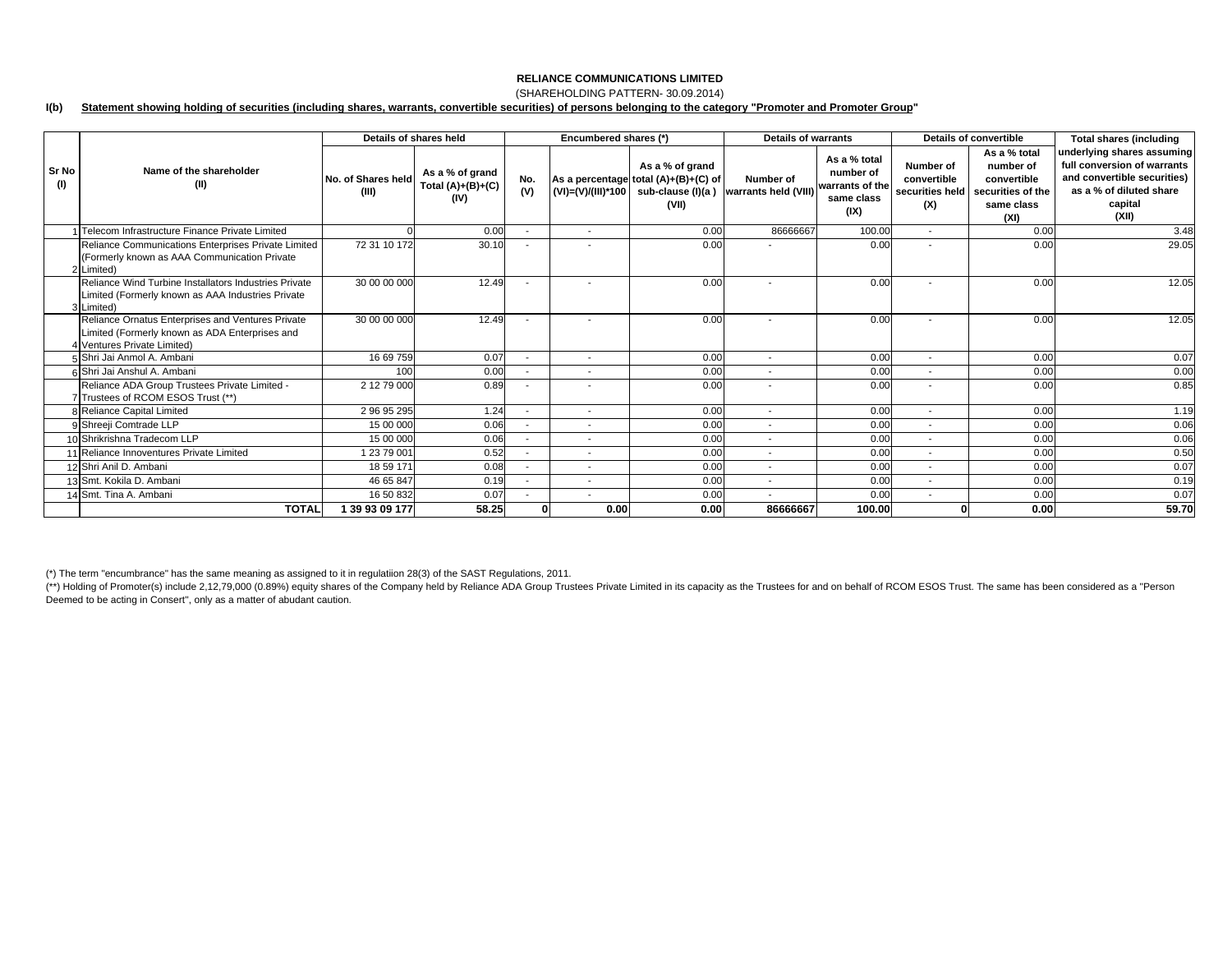## (SHAREHOLDING PATTERN- 30.09.2014)

#### **I(b) Statement showing holding of securities (including shares, warrants, convertible securities) of persons belonging to the category "Promoter and Promoter Group"**

|              |                                                                                                                                    | Details of shares held      |                                                |                          | Encumbered shares (*)    |                                                                                        | <b>Details of warrants</b>        |                                                                    |                                 | Details of convertible                                                                              | <b>Total shares (including</b>                                                                                                          |
|--------------|------------------------------------------------------------------------------------------------------------------------------------|-----------------------------|------------------------------------------------|--------------------------|--------------------------|----------------------------------------------------------------------------------------|-----------------------------------|--------------------------------------------------------------------|---------------------------------|-----------------------------------------------------------------------------------------------------|-----------------------------------------------------------------------------------------------------------------------------------------|
| Sr No<br>(1) | Name of the shareholder<br>(II)                                                                                                    | No. of Shares held<br>(III) | As a % of grand<br>Total $(A)+(B)+(C)$<br>(IV) | No.<br>(V)               | (VI)=(V)/(III)*100       | As a % of grand<br>As a percentage total (A)+(B)+(C) of<br>sub-clause (I)(a )<br>(VII) | Number of<br>warrants held (VIII) | As a % total<br>number of<br>warrants of the<br>same class<br>(IX) | Number of<br>convertible<br>(X) | As a % total<br>number of<br>convertible<br>securities held securities of the<br>same class<br>(XI) | underlying shares assuming<br>full conversion of warrants<br>and convertible securities)<br>as a % of diluted share<br>capital<br>(XII) |
|              | Telecom Infrastructure Finance Private Limited                                                                                     |                             | 0.00                                           |                          | $\overline{\phantom{a}}$ | 0.00                                                                                   | 86666667                          | 100.00                                                             | $\overline{\phantom{a}}$        | 0.00                                                                                                | 3.48                                                                                                                                    |
|              | Reliance Communications Enterprises Private Limited<br>(Formerly known as AAA Communication Private<br>2 Limited)                  | 72 31 10 172                | 30.10                                          |                          |                          | 0.00                                                                                   |                                   | 0.00                                                               |                                 | 0.00                                                                                                | 29.05                                                                                                                                   |
|              | Reliance Wind Turbine Installators Industries Private<br>Limited (Formerly known as AAA Industries Private<br>3 Limited)           | 30 00 00 000                | 12.49                                          |                          | $\overline{\phantom{a}}$ | 0.00                                                                                   |                                   | 0.00                                                               | $\sim$                          | 0.00                                                                                                | 12.05                                                                                                                                   |
|              | Reliance Ornatus Enterprises and Ventures Private<br>Limited (Formerly known as ADA Enterprises and<br>4 Ventures Private Limited) | 30 00 00 000                | 12.49                                          |                          |                          | 0.00                                                                                   |                                   | 0.00                                                               |                                 | 0.00                                                                                                | 12.05                                                                                                                                   |
|              | 5 Shri Jai Anmol A. Ambani                                                                                                         | 16 69 759                   | 0.07                                           |                          | $\overline{\phantom{a}}$ | 0.00                                                                                   | $\overline{\phantom{a}}$          | 0.00                                                               | $\overline{\phantom{a}}$        | 0.00                                                                                                | 0.07                                                                                                                                    |
|              | 6 Shri Jai Anshul A. Ambani                                                                                                        | 100                         | 0.00                                           | $\overline{\phantom{a}}$ | $\sim$                   | 0.00                                                                                   | $\overline{\phantom{a}}$          | 0.00                                                               | $\overline{\phantom{a}}$        | 0.00                                                                                                | 0.00                                                                                                                                    |
|              | Reliance ADA Group Trustees Private Limited -<br>7 Trustees of RCOM ESOS Trust (**)                                                | 2 12 79 000                 | 0.89                                           |                          | ٠                        | 0.00                                                                                   | $\blacksquare$                    | 0.00                                                               |                                 | 0.00                                                                                                | 0.85                                                                                                                                    |
|              | 8 Reliance Capital Limited                                                                                                         | 2 96 95 295                 | 1.24                                           | ٠                        | $\sim$                   | 0.00                                                                                   | $\overline{\phantom{a}}$          | 0.00                                                               | $\overline{\phantom{a}}$        | 0.00                                                                                                | 1.19                                                                                                                                    |
|              | 9 Shreeji Comtrade LLP                                                                                                             | 15 00 000                   | 0.06                                           |                          | $\overline{a}$           | 0.00                                                                                   | $\overline{a}$                    | 0.00                                                               | $\overline{\phantom{a}}$        | 0.00                                                                                                | 0.06                                                                                                                                    |
|              | 10 Shrikrishna Tradecom LLP                                                                                                        | 15 00 000                   | 0.06                                           |                          | $\overline{\phantom{a}}$ | 0.00                                                                                   | $\blacksquare$                    | 0.00                                                               | $\overline{\phantom{a}}$        | 0.00                                                                                                | 0.06                                                                                                                                    |
|              | 1 Reliance Innoventures Private Limited                                                                                            | 1 23 79 001                 | 0.52                                           | $\blacksquare$           | $\overline{\phantom{a}}$ | 0.00                                                                                   | $\blacksquare$                    | 0.00                                                               | $\overline{\phantom{a}}$        | 0.00                                                                                                | 0.50                                                                                                                                    |
|              | 12 Shri Anil D. Ambani                                                                                                             | 18 59 171                   | 0.08                                           | $\overline{\phantom{a}}$ | ٠                        | 0.00                                                                                   | $\overline{\phantom{a}}$          | 0.00                                                               | $\overline{\phantom{a}}$        | 0.00                                                                                                | 0.07                                                                                                                                    |
|              | 13 Smt. Kokila D. Ambani                                                                                                           | 46 65 847                   | 0.19                                           |                          | $\overline{\phantom{a}}$ | 0.00                                                                                   | $\overline{\phantom{a}}$          | 0.00                                                               | $\overline{\phantom{a}}$        | 0.00                                                                                                | 0.19                                                                                                                                    |
|              | 4 Smt. Tina A. Ambani                                                                                                              | 16 50 832                   | 0.07                                           |                          | $\overline{\phantom{a}}$ | 0.00                                                                                   | $\blacksquare$                    | 0.00                                                               | $\overline{\phantom{a}}$        | 0.00                                                                                                | 0.07                                                                                                                                    |
|              | <b>TOTAL</b>                                                                                                                       | 1 39 93 09 177              | 58.25                                          | $\mathbf{0}$             | 0.00                     | 0.00                                                                                   | 86666667                          | 100.00                                                             |                                 | 0.00                                                                                                | 59.70                                                                                                                                   |

(\*) The term "encumbrance" has the same meaning as assigned to it in regulatiion 28(3) of the SAST Regulations, 2011.

(\*\*) Holding of Promoter(s) include 2,12,79,000 (0.89%) equity shares of the Company held by Reliance ADA Group Trustees Private Limited in its capacity as the Trustees for and on behalf of RCOM ESOS Trust. The same has be Deemed to be acting in Consert'', only as a matter of abudant caution.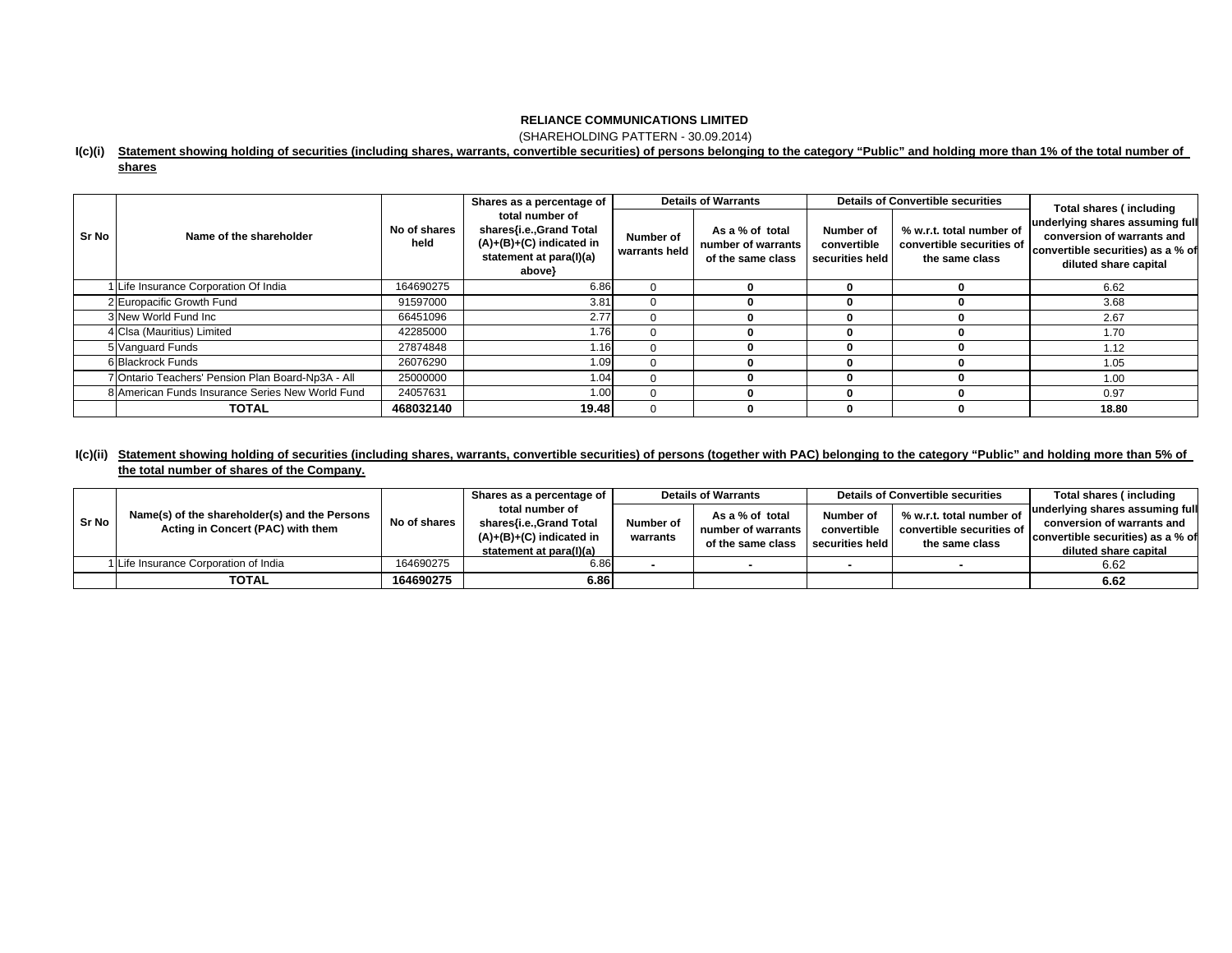(SHAREHOLDING PATTERN - 30.09.2014)

#### **I(c)(i) Statement showing holding of securities (including shares, warrants, convertible securities) of persons belonging to the category "Public" and holding more than 1% of the total number of**

|--|

|       |                                                   | Shares as a percentage of |                                                                                                               |                            | <b>Details of Warrants</b>                                 |                                             | <b>Details of Convertible securities</b>                                | <b>Total shares (including</b>                                                                                              |  |
|-------|---------------------------------------------------|---------------------------|---------------------------------------------------------------------------------------------------------------|----------------------------|------------------------------------------------------------|---------------------------------------------|-------------------------------------------------------------------------|-----------------------------------------------------------------------------------------------------------------------------|--|
| Sr No | Name of the shareholder                           | No of shares<br>held      | total number of<br>shares{i.e.,Grand Total<br>$(A)+(B)+(C)$ indicated in<br>statement at para(I)(a)<br>above} | Number of<br>warrants held | As a % of total<br>number of warrants<br>of the same class | Number of<br>convertible<br>securities held | % w.r.t. total number of<br>convertible securities of<br>the same class | underlying shares assuming full<br>conversion of warrants and<br>convertible securities) as a % of<br>diluted share capital |  |
|       | Life Insurance Corporation Of India               | 164690275                 | 6.86                                                                                                          |                            |                                                            | o                                           |                                                                         | 6.62                                                                                                                        |  |
|       | 2 Europacific Growth Fund                         | 91597000                  | 3.81                                                                                                          |                            |                                                            |                                             |                                                                         | 3.68                                                                                                                        |  |
|       | 3 New World Fund Inc                              | 66451096                  | 2.77                                                                                                          |                            |                                                            | 0                                           |                                                                         | 2.67                                                                                                                        |  |
|       | 4 Clsa (Mauritius) Limited                        | 42285000                  | 1.76                                                                                                          |                            |                                                            |                                             |                                                                         | 1.70                                                                                                                        |  |
|       | 5 Vanguard Funds                                  | 27874848                  | 1.16                                                                                                          |                            |                                                            | 0                                           |                                                                         | 1.12                                                                                                                        |  |
|       | 6 Blackrock Funds                                 | 26076290                  | 1.09                                                                                                          |                            |                                                            | 0                                           |                                                                         | 1.05                                                                                                                        |  |
|       | 7 Ontario Teachers' Pension Plan Board-Np3A - All | 25000000                  | 1.04                                                                                                          |                            |                                                            | 0                                           |                                                                         | 1.00                                                                                                                        |  |
|       | 8 American Funds Insurance Series New World Fund  | 24057631                  | 1.00                                                                                                          |                            |                                                            | 0                                           |                                                                         | 0.97                                                                                                                        |  |
|       | <b>TOTAL</b>                                      | 468032140                 | 19.48                                                                                                         |                            |                                                            |                                             |                                                                         | 18.80                                                                                                                       |  |

## **I(c)(ii) Statement showing holding of securities (including shares, warrants, convertible securities) of persons (together with PAC) belonging to the category "Public" and holding more than 5% of the total number of shares of the Company.**

| Sr No | Name(s) of the shareholder(s) and the Persons<br>Acting in Concert (PAC) with them | No of shares | Shares as a percentage of                             | <b>Details of Warrants</b> |                                         |                                | <b>Details of Convertible securities</b>    | Total shares (including                                       |
|-------|------------------------------------------------------------------------------------|--------------|-------------------------------------------------------|----------------------------|-----------------------------------------|--------------------------------|---------------------------------------------|---------------------------------------------------------------|
|       |                                                                                    |              | total number of<br>shares{i.e.,Grand Total            | Number of                  | As a % of total                         | Number of                      | % w.r.t. total number of                    | underlying shares assuming full<br>conversion of warrants and |
|       |                                                                                    |              | $(A)+(B)+(C)$ indicated in<br>statement at para(I)(a) | warrants                   | number of warrants<br>of the same class | convertible<br>securities held | convertible securities of<br>the same class | convertible securities) as a % of                             |
|       |                                                                                    |              |                                                       |                            |                                         |                                |                                             | diluted share capital                                         |
|       | 1 Life Insurance Corporation of India                                              | 164690275    | 6.86                                                  |                            |                                         |                                |                                             | 6.62                                                          |
|       | <b>TOTAL</b>                                                                       | 164690275    | 6.86                                                  |                            |                                         |                                |                                             | 6.62                                                          |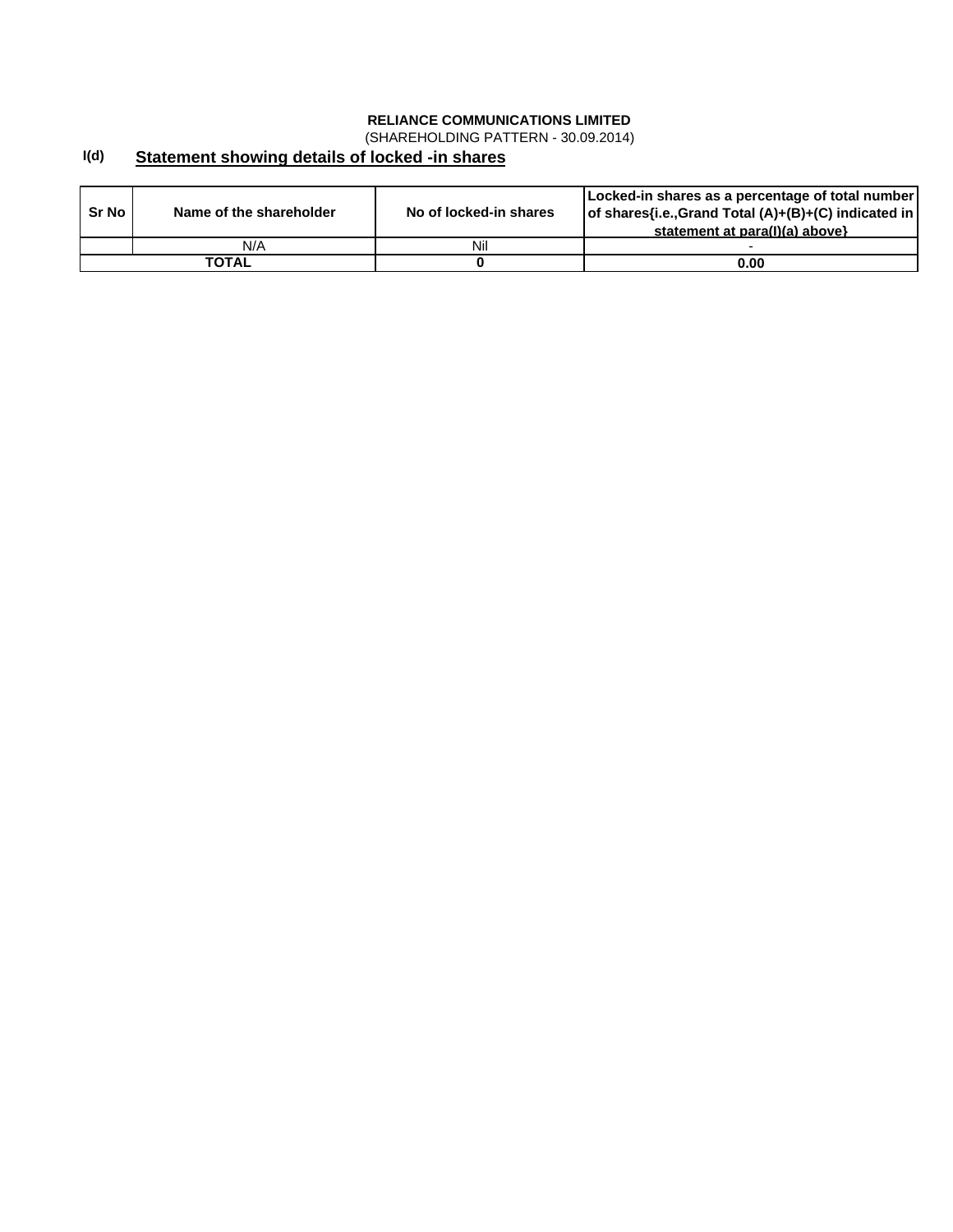(SHAREHOLDING PATTERN - 30.09.2014)

#### **I(d) Statement showing details of locked -in shares**

| Sr No | Name of the shareholder | No of locked-in shares | [Locked-in shares as a percentage of total number]<br>of shares{i.e., Grand Total (A)+(B)+(C) indicated in<br>statement at para(I)(a) above} |
|-------|-------------------------|------------------------|----------------------------------------------------------------------------------------------------------------------------------------------|
|       | N/A                     | Nil                    |                                                                                                                                              |
|       | ΤΟΤΑL                   |                        | 0.00                                                                                                                                         |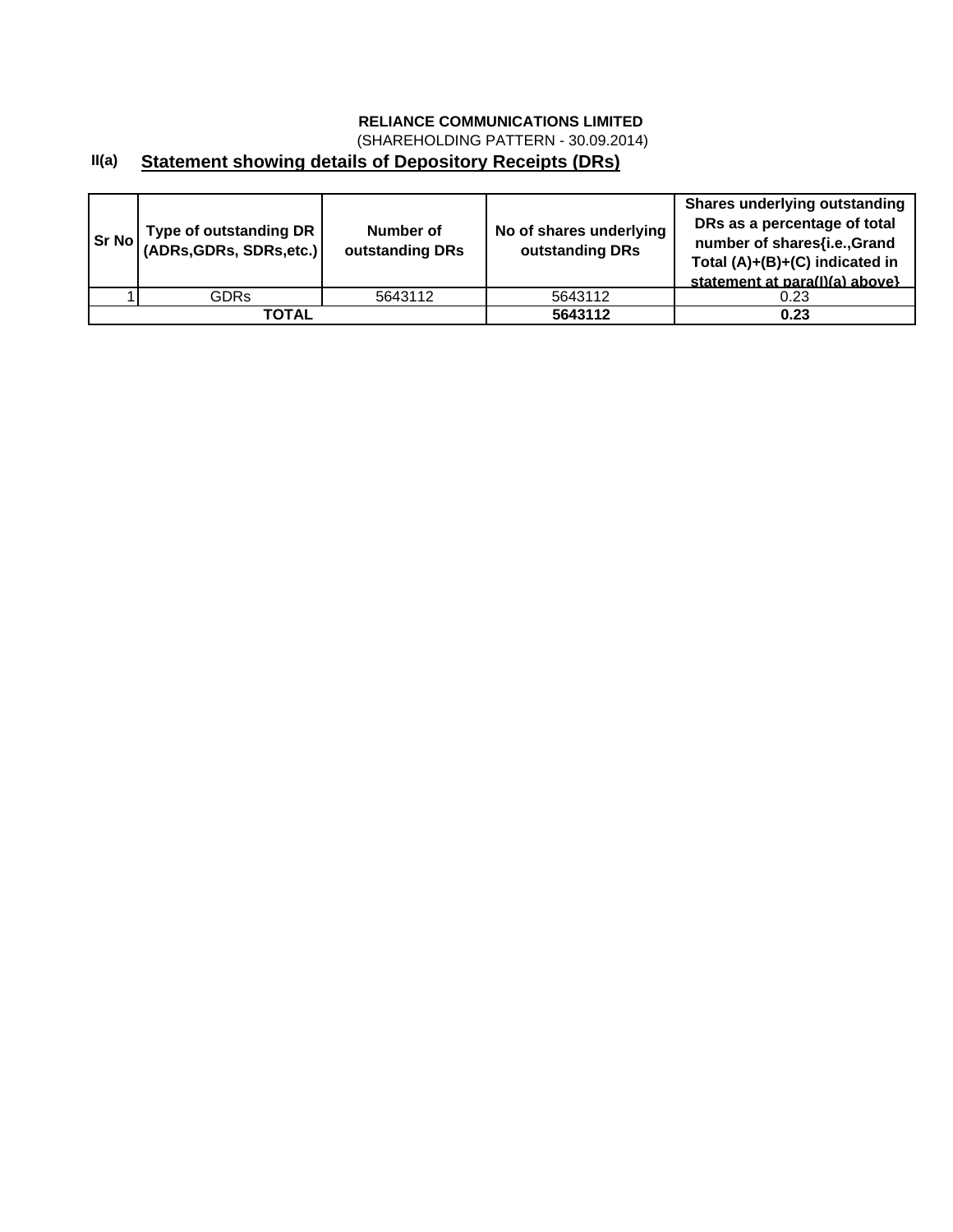(SHAREHOLDING PATTERN - 30.09.2014)

## **II(a) Statement showing details of Depository Receipts (DRs)**

| <b>Sr No</b> | Type of outstanding DR  <br>(ADRs, GDRs, SDRs, etc.) | Number of<br>outstanding DRs | No of shares underlying<br>outstanding DRs | <b>Shares underlying outstanding</b><br>DRs as a percentage of total<br>number of shares{i.e.,Grand<br>Total (A)+(B)+(C) indicated in<br>statement at para(I)(a) above} |
|--------------|------------------------------------------------------|------------------------------|--------------------------------------------|-------------------------------------------------------------------------------------------------------------------------------------------------------------------------|
|              | <b>GDRs</b>                                          | 5643112                      | 5643112                                    | 0.23                                                                                                                                                                    |
|              | TOTAL                                                |                              | 5643112                                    | 0.23                                                                                                                                                                    |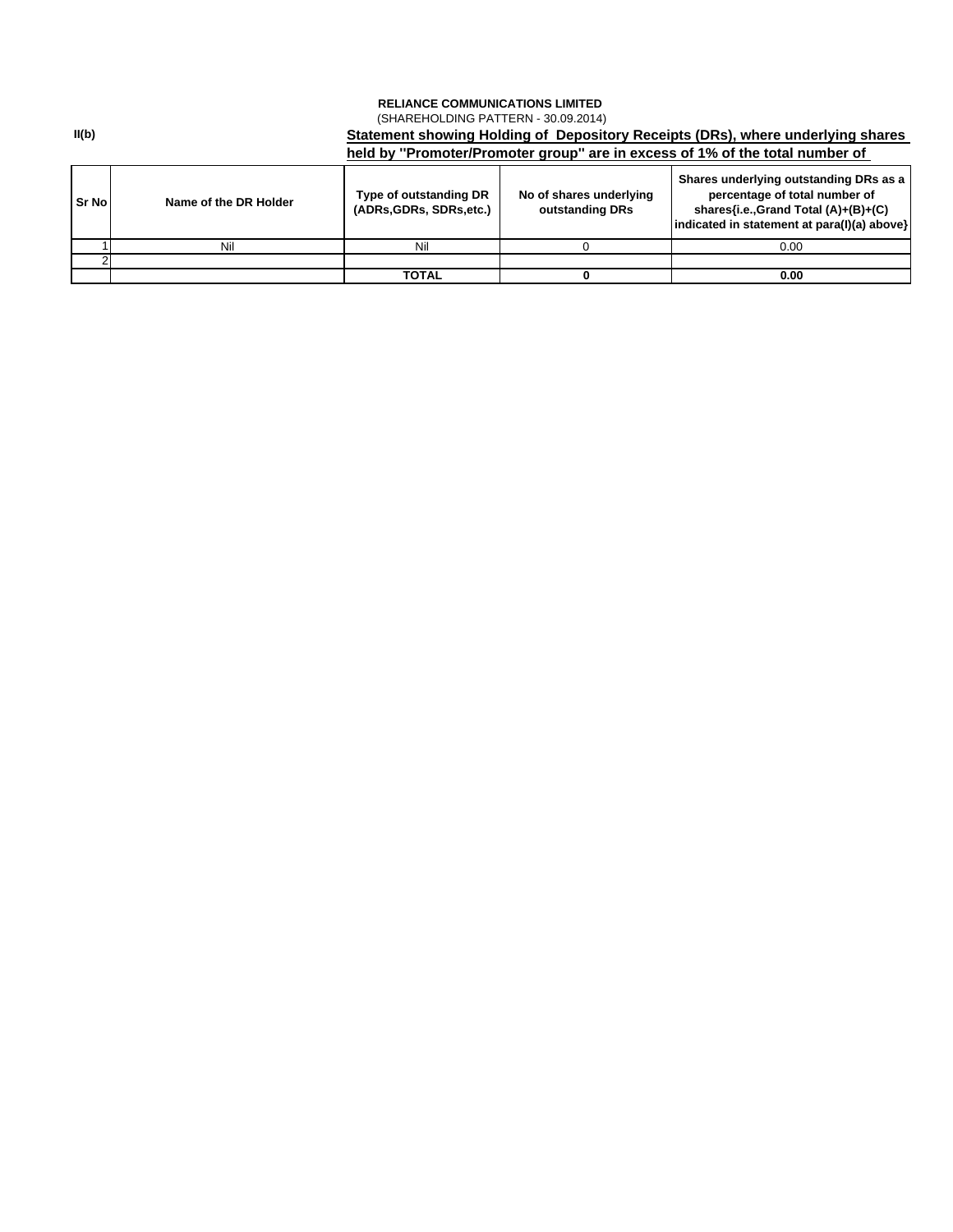## **RELIANCE COMMUNICATIONS LIMITED**  (SHAREHOLDING PATTERN - 30.09.2014)

**Sr No Name of the DR Holder Type of outstanding DR SR No NAME OF A CONDUCT (ADRs,GDRs, SDRs,etc.) No of shares underlying outstanding DRs Shares underlying outstanding DRs as a percentage of total number of shares{i.e.,Grand Total (A)+(B)+(C) indicated in statement at para(I)(a) above}** 1 | Nil Nil | 0 | 0.00  $\mathcal{D}$ **TOTAL 0 0.00 Statement showing Holding of Depository Receipts (DRs), where underlying shares held by ''Promoter/Promoter group'' are in excess of 1% of the total number of** 

**II(b)**